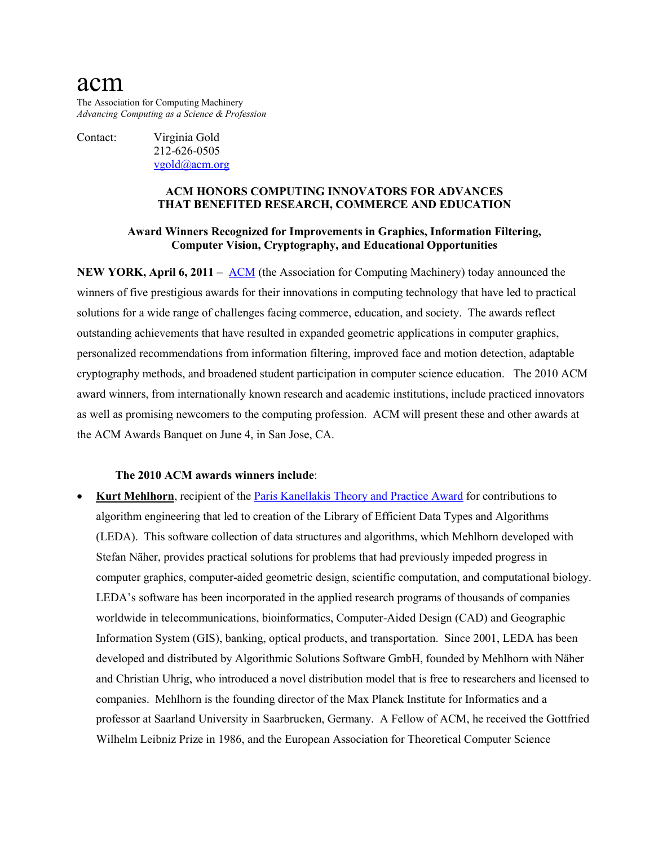# acm

The Association for Computing Machinery *Advancing Computing as a Science & Profession*

Contact: Virginia Gold

212-626-0505 [vgold@acm.org](mailto:v_gold@acm.org)

#### **ACM HONORS COMPUTING INNOVATORS FOR ADVANCES THAT BENEFITED RESEARCH, COMMERCE AND EDUCATION**

#### **Award Winners Recognized for Improvements in Graphics, Information Filtering, Computer Vision, Cryptography, and Educational Opportunities**

**NEW YORK, April 6, 2011** – [ACM](http://www.acm.org/) (the Association for Computing Machinery) today announced the winners of five prestigious awards for their innovations in computing technology that have led to practical solutions for a wide range of challenges facing commerce, education, and society. The awards reflect outstanding achievements that have resulted in expanded geometric applications in computer graphics, personalized recommendations from information filtering, improved face and motion detection, adaptable cryptography methods, and broadened student participation in computer science education. The 2010 ACM award winners, from internationally known research and academic institutions, include practiced innovators as well as promising newcomers to the computing profession. ACM will present these and other awards at the ACM Awards Banquet on June 4, in San Jose, CA.

### **The 2010 ACM awards winners include**:

**Kurt Mehlhorn**, recipient of the *Paris Kanellakis Theory and Practice Award* for contributions to algorithm engineering that led to creation of the Library of Efficient Data Types and Algorithms (LEDA). This software collection of data structures and algorithms, which Mehlhorn developed with Stefan Näher, provides practical solutions for problems that had previously impeded progress in computer graphics, computer-aided geometric design, scientific computation, and computational biology. LEDA's software has been incorporated in the applied research programs of thousands of companies worldwide in telecommunications, bioinformatics, Computer-Aided Design (CAD) and Geographic Information System (GIS), banking, optical products, and transportation. Since 2001, LEDA has been developed and distributed by Algorithmic Solutions Software GmbH, founded by Mehlhorn with Näher and Christian Uhrig, who introduced a novel distribution model that is free to researchers and licensed to companies. Mehlhorn is the founding director of the Max Planck Institute for Informatics and a professor at Saarland University in Saarbrucken, Germany. A Fellow of ACM, he received the Gottfried Wilhelm Leibniz Prize in 1986, and the European Association for Theoretical Computer Science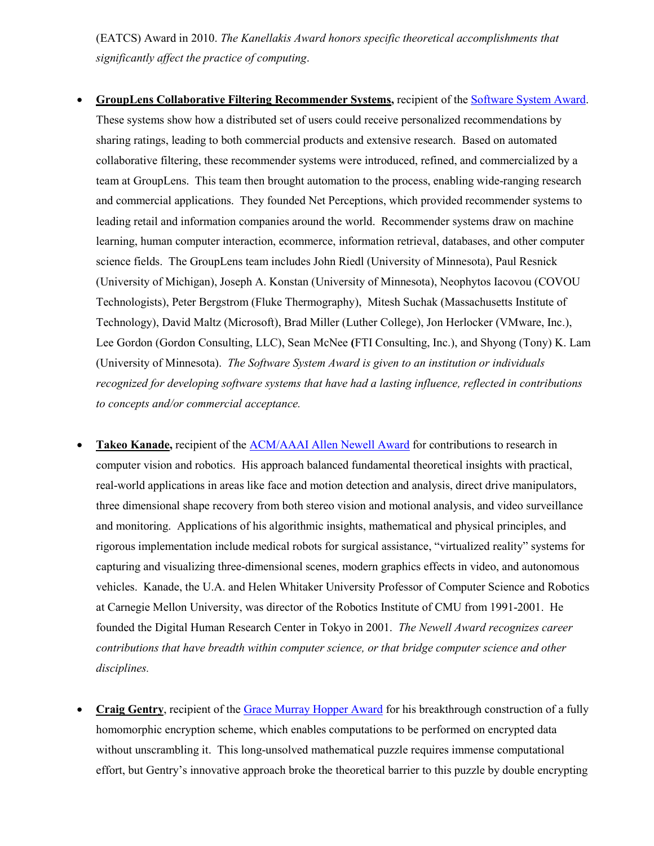(EATCS) Award in 2010. *The Kanellakis Award honors specific theoretical accomplishments that significantly affect the practice of computing*.

- **GroupLens Collaborative Filtering Recommender Systems,** recipient of the [Software System Award.](http://awards.acm.org/software_system/) These systems show how a distributed set of users could receive personalized recommendations by sharing ratings, leading to both commercial products and extensive research. Based on automated collaborative filtering, these recommender systems were introduced, refined, and commercialized by a team at GroupLens. This team then brought automation to the process, enabling wide-ranging research and commercial applications. They founded Net Perceptions, which provided recommender systems to leading retail and information companies around the world. Recommender systems draw on machine learning, human computer interaction, ecommerce, information retrieval, databases, and other computer science fields. The GroupLens team includes John Riedl (University of Minnesota), Paul Resnick (University of Michigan), Joseph A. Konstan (University of Minnesota), Neophytos Iacovou (COVOU Technologists), Peter Bergstrom (Fluke Thermography), Mitesh Suchak (Massachusetts Institute of Technology), David Maltz (Microsoft), Brad Miller (Luther College), Jon Herlocker (VMware, Inc.), Lee Gordon (Gordon Consulting, LLC), Sean McNee **(**FTI Consulting, Inc.), and Shyong (Tony) K. Lam (University of Minnesota). *The Software System Award is given to an institution or individuals recognized for developing software systems that have had a lasting influence, reflected in contributions to concepts and/or commercial acceptance.*
- **Takeo Kanade,** recipient of the [ACM/AAAI Allen Newell Award](http://awards.acm.org/newell/) for contributions to research in computer vision and robotics. His approach balanced fundamental theoretical insights with practical, real-world applications in areas like face and motion detection and analysis, direct drive manipulators, three dimensional shape recovery from both stereo vision and motional analysis, and video surveillance and monitoring. Applications of his algorithmic insights, mathematical and physical principles, and rigorous implementation include medical robots for surgical assistance, "virtualized reality" systems for capturing and visualizing three-dimensional scenes, modern graphics effects in video, and autonomous vehicles. Kanade, the U.A. and Helen Whitaker University Professor of Computer Science and Robotics at Carnegie Mellon University, was director of the Robotics Institute of CMU from 1991-2001. He founded the Digital Human Research Center in Tokyo in 2001. *The Newell Award recognizes career contributions that have breadth within computer science, or that bridge computer science and other disciplines.*
- **Craig Gentry**, recipient of the [Grace Murray Hopper Award](http://awards.acm.org/hopper/) for his breakthrough construction of a fully homomorphic encryption scheme, which enables computations to be performed on encrypted data without unscrambling it. This long-unsolved mathematical puzzle requires immense computational effort, but Gentry's innovative approach broke the theoretical barrier to this puzzle by double encrypting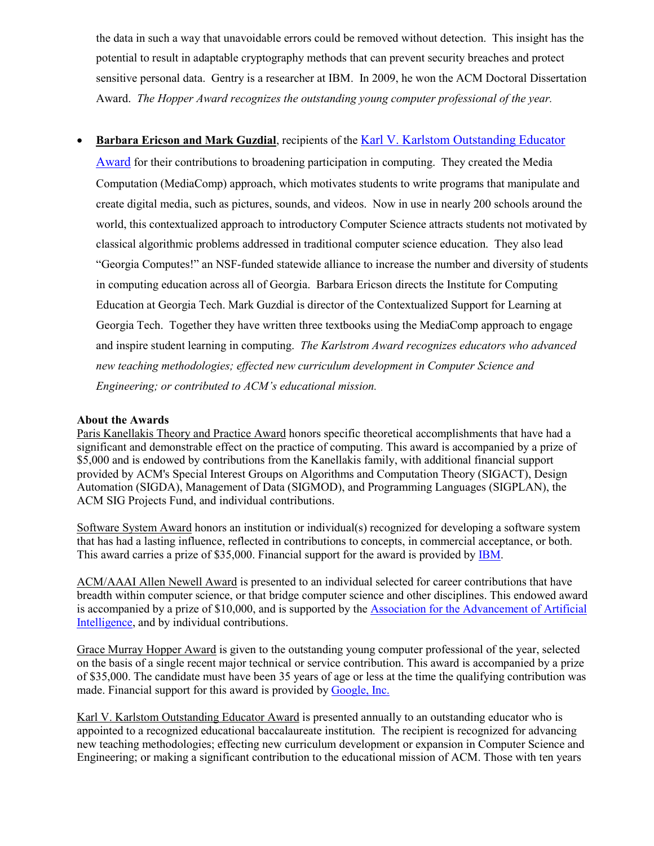the data in such a way that unavoidable errors could be removed without detection. This insight has the potential to result in adaptable cryptography methods that can prevent security breaches and protect sensitive personal data. Gentry is a researcher at IBM. In 2009, he won the ACM Doctoral Dissertation Award. *The Hopper Award recognizes the outstanding young computer professional of the year.* 

## • **Barbara Ericson and Mark Guzdial**, recipients of the [Karl V. Karlstom Outstanding Educator](http://awards.acm.org/karlstrom/)

[Award](http://awards.acm.org/karlstrom/) for their contributions to broadening participation in computing. They created the Media Computation (MediaComp) approach, which motivates students to write programs that manipulate and create digital media, such as pictures, sounds, and videos. Now in use in nearly 200 schools around the world, this contextualized approach to introductory Computer Science attracts students not motivated by classical algorithmic problems addressed in traditional computer science education. They also lead "Georgia Computes!" an NSF-funded statewide alliance to increase the number and diversity of students in computing education across all of Georgia. Barbara Ericson directs the Institute for Computing Education at Georgia Tech. Mark Guzdial is director of the Contextualized Support for Learning at Georgia Tech. Together they have written three textbooks using the MediaComp approach to engage and inspire student learning in computing. *The Karlstrom Award recognizes educators who advanced new teaching methodologies; effected new curriculum development in Computer Science and Engineering; or contributed to ACM's educational mission.* 

#### **About the Awards**

Paris Kanellakis Theory and Practice Award honors specific theoretical accomplishments that have had a significant and demonstrable effect on the practice of computing. This award is accompanied by a prize of \$5,000 and is endowed by contributions from the Kanellakis family, with additional financial support provided by ACM's Special Interest Groups on Algorithms and Computation Theory (SIGACT), Design Automation (SIGDA), Management of Data (SIGMOD), and Programming Languages (SIGPLAN), the ACM SIG Projects Fund, and individual contributions.

Software System Award honors an institution or individual(s) recognized for developing a software system that has had a lasting influence, reflected in contributions to concepts, in commercial acceptance, or both. This award carries a prize of \$35,000. Financial support for the award is provided by [IBM.](http://www.ibm.com/)

ACM/AAAI Allen Newell Award is presented to an individual selected for career contributions that have breadth within computer science, or that bridge computer science and other disciplines. This endowed award is accompanied by a prize of \$10,000, and is supported by the [Association for the Advancement of Artificial](http://www.aaai.org/home.html)  [Intelligence,](http://www.aaai.org/home.html) and by individual contributions.

Grace Murray Hopper Award is given to the outstanding young computer professional of the year, selected on the basis of a single recent major technical or service contribution. This award is accompanied by a prize of \$35,000. The candidate must have been 35 years of age or less at the time the qualifying contribution was made. Financial support for this award is provided by [Google, Inc.](http://www.google.com/corporate/)

Karl V. Karlstom Outstanding Educator Award is presented annually to an outstanding educator who is appointed to a recognized educational baccalaureate institution. The recipient is recognized for advancing new teaching methodologies; effecting new curriculum development or expansion in Computer Science and Engineering; or making a significant contribution to the educational mission of ACM. Those with ten years